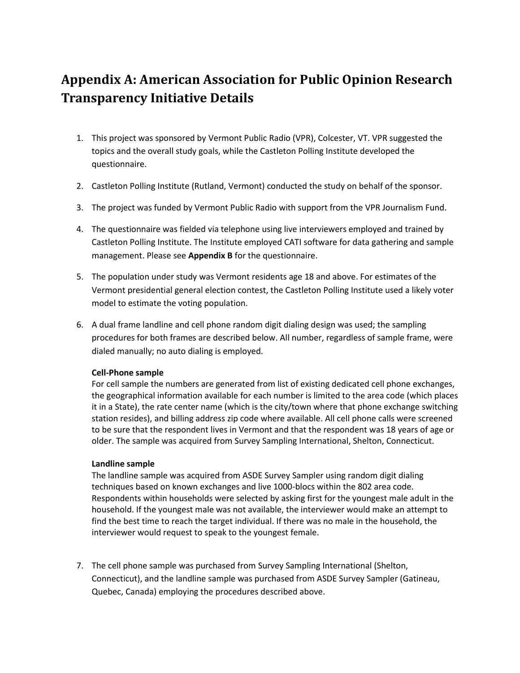# **Appendix A: American Association for Public Opinion Research Transparency Initiative Details**

- 1. This project was sponsored by Vermont Public Radio (VPR), Colcester, VT. VPR suggested the topics and the overall study goals, while the Castleton Polling Institute developed the questionnaire.
- 2. Castleton Polling Institute (Rutland, Vermont) conducted the study on behalf of the sponsor.
- 3. The project was funded by Vermont Public Radio with support from the VPR Journalism Fund.
- 4. The questionnaire was fielded via telephone using live interviewers employed and trained by Castleton Polling Institute. The Institute employed CATI software for data gathering and sample management. Please see **Appendix B** for the questionnaire.
- 5. The population under study was Vermont residents age 18 and above. For estimates of the Vermont presidential general election contest, the Castleton Polling Institute used a likely voter model to estimate the voting population.
- 6. A dual frame landline and cell phone random digit dialing design was used; the sampling procedures for both frames are described below. All number, regardless of sample frame, were dialed manually; no auto dialing is employed.

### **Cell-Phone sample**

For cell sample the numbers are generated from list of existing dedicated cell phone exchanges, the geographical information available for each number is limited to the area code (which places it in a State), the rate center name (which is the city/town where that phone exchange switching station resides), and billing address zip code where available. All cell phone calls were screened to be sure that the respondent lives in Vermont and that the respondent was 18 years of age or older. The sample was acquired from Survey Sampling International, Shelton, Connecticut.

#### **Landline sample**

The landline sample was acquired from ASDE Survey Sampler using random digit dialing techniques based on known exchanges and live 1000-blocs within the 802 area code. Respondents within households were selected by asking first for the youngest male adult in the household. If the youngest male was not available, the interviewer would make an attempt to find the best time to reach the target individual. If there was no male in the household, the interviewer would request to speak to the youngest female.

7. The cell phone sample was purchased from Survey Sampling International (Shelton, Connecticut), and the landline sample was purchased from ASDE Survey Sampler (Gatineau, Quebec, Canada) employing the procedures described above.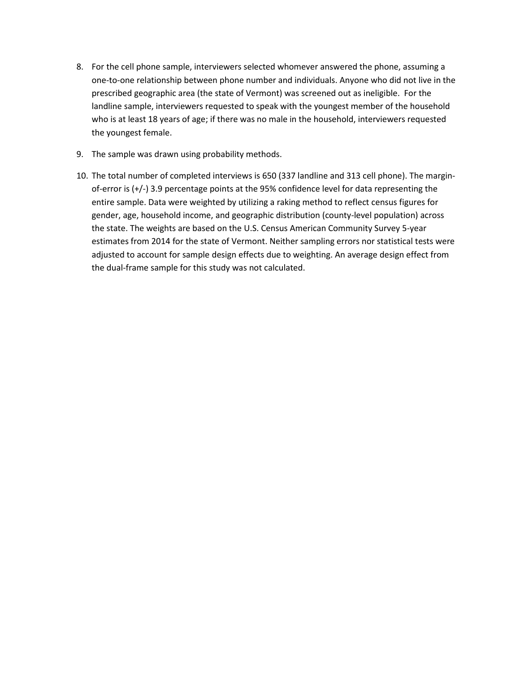- 8. For the cell phone sample, interviewers selected whomever answered the phone, assuming a one-to-one relationship between phone number and individuals. Anyone who did not live in the prescribed geographic area (the state of Vermont) was screened out as ineligible. For the landline sample, interviewers requested to speak with the youngest member of the household who is at least 18 years of age; if there was no male in the household, interviewers requested the youngest female.
- 9. The sample was drawn using probability methods.
- 10. The total number of completed interviews is 650 (337 landline and 313 cell phone). The marginof-error is (+/-) 3.9 percentage points at the 95% confidence level for data representing the entire sample. Data were weighted by utilizing a raking method to reflect census figures for gender, age, household income, and geographic distribution (county-level population) across the state. The weights are based on the U.S. Census American Community Survey 5-year estimates from 2014 for the state of Vermont. Neither sampling errors nor statistical tests were adjusted to account for sample design effects due to weighting. An average design effect from the dual-frame sample for this study was not calculated.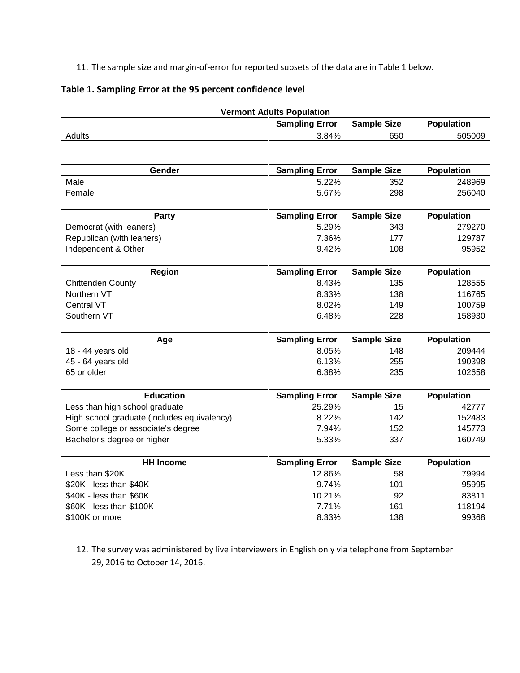11. The sample size and margin-of-error for reported subsets of the data are in Table 1 below.

## **Table 1. Sampling Error at the 95 percent confidence level**

| <b>Vermont Adults Population</b>            |                       |                    |                   |
|---------------------------------------------|-----------------------|--------------------|-------------------|
|                                             | <b>Sampling Error</b> | <b>Sample Size</b> | <b>Population</b> |
| Adults                                      | 3.84%                 | 650                | 505009            |
| Gender                                      | <b>Sampling Error</b> | <b>Sample Size</b> | <b>Population</b> |
| Male                                        | 5.22%                 | 352                | 248969            |
| Female                                      | 5.67%                 | 298                | 256040            |
|                                             |                       |                    |                   |
| Party                                       | <b>Sampling Error</b> | <b>Sample Size</b> | <b>Population</b> |
| Democrat (with leaners)                     | 5.29%                 | 343                | 279270            |
| Republican (with leaners)                   | 7.36%                 | 177                | 129787            |
| Independent & Other                         | 9.42%                 | 108                | 95952             |
| <b>Region</b>                               | <b>Sampling Error</b> | <b>Sample Size</b> | <b>Population</b> |
| Chittenden County                           | 8.43%                 | 135                | 128555            |
| Northern VT                                 | 8.33%                 | 138                | 116765            |
| Central VT                                  | 8.02%                 | 149                | 100759            |
| Southern VT                                 | 6.48%                 | 228                | 158930            |
| Age                                         | <b>Sampling Error</b> | <b>Sample Size</b> | <b>Population</b> |
| 18 - 44 years old                           | 8.05%                 | 148                | 209444            |
| 45 - 64 years old                           | 6.13%                 | 255                | 190398            |
| 65 or older                                 | 6.38%                 | 235                | 102658            |
| <b>Education</b>                            | <b>Sampling Error</b> | <b>Sample Size</b> | <b>Population</b> |
| Less than high school graduate              | 25.29%                | 15                 | 42777             |
| High school graduate (includes equivalency) | 8.22%                 | 142                | 152483            |
| Some college or associate's degree          | 7.94%                 | 152                | 145773            |
| Bachelor's degree or higher                 | 5.33%                 | 337                | 160749            |
| <b>HH Income</b>                            | <b>Sampling Error</b> | <b>Sample Size</b> | Population        |
| Less than \$20K                             | 12.86%                | 58                 | 79994             |
| \$20K - less than \$40K                     | 9.74%                 | 101                | 95995             |
| \$40K - less than \$60K                     | 10.21%                | 92                 | 83811             |
| \$60K - less than \$100K                    | 7.71%                 | 161                | 118194            |
| \$100K or more                              | 8.33%                 | 138                | 99368             |

12. The survey was administered by live interviewers in English only via telephone from September 29, 2016 to October 14, 2016.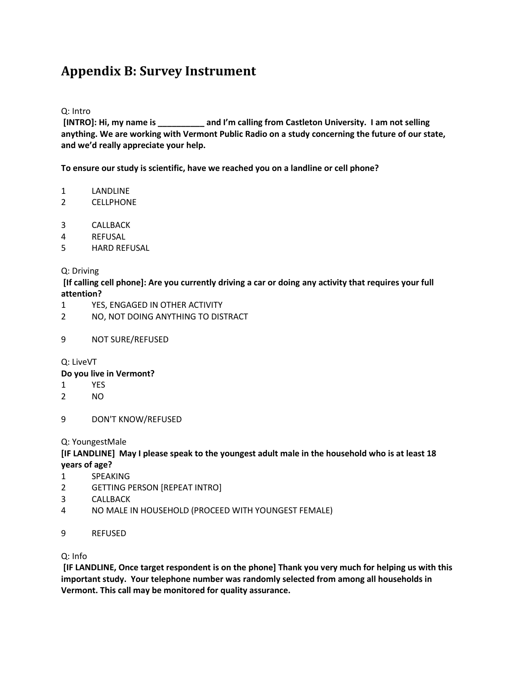# **Appendix B: Survey Instrument**

### Q: Intro

**[INTRO]: Hi, my name is \_\_\_\_\_\_\_\_\_\_ and I'm calling from Castleton University. I am not selling anything. We are working with Vermont Public Radio on a study concerning the future of our state, and we'd really appreciate your help.** 

**To ensure our study is scientific, have we reached you on a landline or cell phone?**

- 1 LANDLINE
- 2 CELLPHONE
- 3 CALLBACK
- 4 REFUSAL
- 5 HARD REFUSAL

### Q: Driving

**[If calling cell phone]: Are you currently driving a car or doing any activity that requires your full attention?**

- 1 YES, ENGAGED IN OTHER ACTIVITY
- 2 NO, NOT DOING ANYTHING TO DISTRACT
- 9 NOT SURE/REFUSED

Q: LiveVT

### **Do you live in Vermont?**

- 1 YES
- 2 NO
- 9 DON'T KNOW/REFUSED

Q: YoungestMale

## **[IF LANDLINE] May I please speak to the youngest adult male in the household who is at least 18 years of age?**

- 1 SPEAKING
- 2 GETTING PERSON [REPEAT INTRO]
- 3 CALLBACK
- 4 NO MALE IN HOUSEHOLD (PROCEED WITH YOUNGEST FEMALE)
- 9 REFUSED

Q: Info

**[IF LANDLINE, Once target respondent is on the phone] Thank you very much for helping us with this important study. Your telephone number was randomly selected from among all households in Vermont. This call may be monitored for quality assurance.**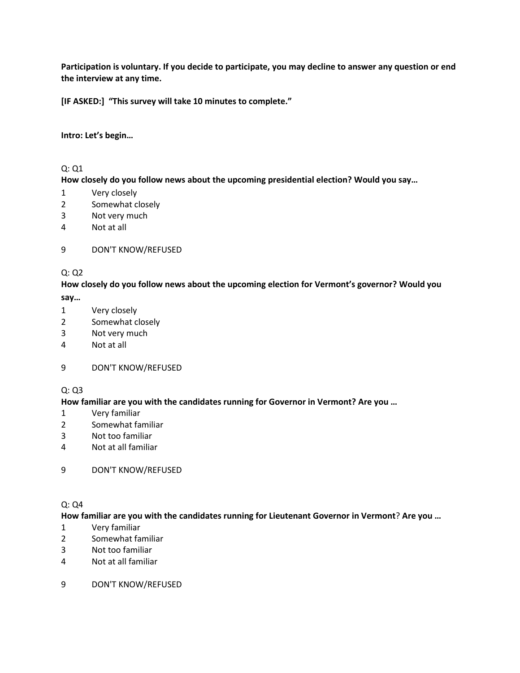**Participation is voluntary. If you decide to participate, you may decline to answer any question or end the interview at any time.**

**[IF ASKED:] "This survey will take 10 minutes to complete."**

## **Intro: Let's begin…**

## Q: Q1

## **How closely do you follow news about the upcoming presidential election? Would you say…**

- Very closely
- Somewhat closely
- Not very much
- Not at all

## DON'T KNOW/REFUSED

## Q: Q2

## **How closely do you follow news about the upcoming election for Vermont's governor? Would you say…**

- Very closely
- Somewhat closely
- Not very much
- Not at all

### DON'T KNOW/REFUSED

### $Q: Q3$

### **How familiar are you with the candidates running for Governor in Vermont? Are you …**

- Very familiar
- Somewhat familiar
- Not too familiar
- Not at all familiar

### DON'T KNOW/REFUSED

## Q: Q4

### **How familiar are you with the candidates running for Lieutenant Governor in Vermont**? **Are you …**

- Very familiar
- Somewhat familiar
- Not too familiar
- Not at all familiar
- DON'T KNOW/REFUSED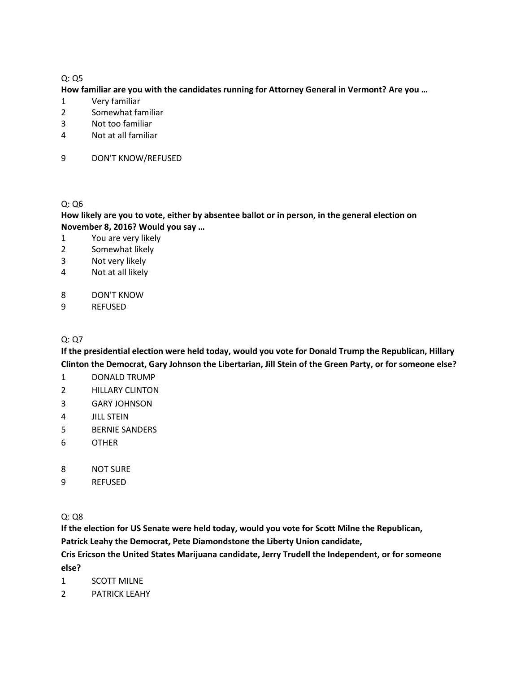## Q: Q5

#### **How familiar are you with the candidates running for Attorney General in Vermont? Are you …**

- Very familiar
- Somewhat familiar
- Not too familiar
- Not at all familiar
- DON'T KNOW/REFUSED

#### Q: Q6

## **How likely are you to vote, either by absentee ballot or in person, in the general election on November 8, 2016? Would you say …**

- You are very likely
- Somewhat likely
- Not very likely
- Not at all likely
- DON'T KNOW
- REFUSED

## Q: Q7

**If the presidential election were held today, would you vote for Donald Trump the Republican, Hillary Clinton the Democrat, Gary Johnson the Libertarian, Jill Stein of the Green Party, or for someone else?** 

- DONALD TRUMP
- HILLARY CLINTON
- GARY JOHNSON
- JILL STEIN
- BERNIE SANDERS
- OTHER
- NOT SURE
- REFUSED

Q: Q8

**If the election for US Senate were held today, would you vote for Scott Milne the Republican,**

**Patrick Leahy the Democrat, Pete Diamondstone the Liberty Union candidate,** 

**Cris Ericson the United States Marijuana candidate, Jerry Trudell the Independent, or for someone** 

**else?**

- SCOTT MILNE
- PATRICK LEAHY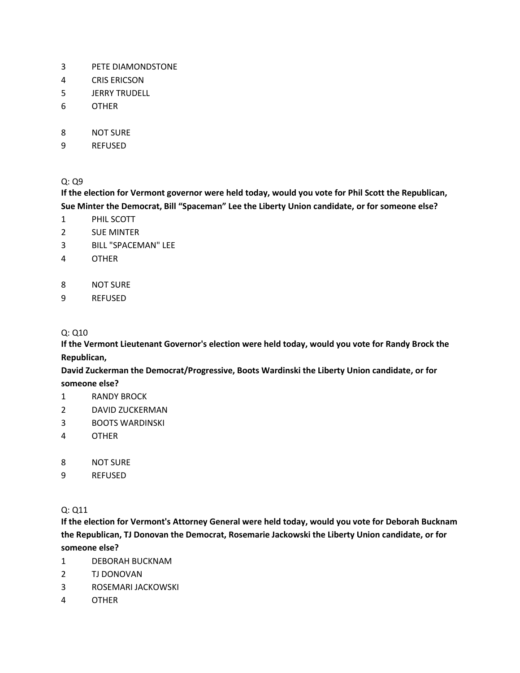- PETE DIAMONDSTONE
- CRIS ERICSON
- JERRY TRUDELL
- OTHER
- NOT SURE
- REFUSED

 $Q: Q9$ 

**If the election for Vermont governor were held today, would you vote for Phil Scott the Republican, Sue Minter the Democrat, Bill "Spaceman" Lee the Liberty Union candidate, or for someone else?** 

- PHIL SCOTT
- SUE MINTER
- BILL "SPACEMAN" LEE
- OTHER
- NOT SURE
- REFUSED

## Q: Q10

**If the Vermont Lieutenant Governor's election were held today, would you vote for Randy Brock the Republican,**

**David Zuckerman the Democrat/Progressive, Boots Wardinski the Liberty Union candidate, or for someone else?**

- RANDY BROCK
- DAVID ZUCKERMAN
- BOOTS WARDINSKI
- OTHER
- NOT SURE
- REFUSED

Q: Q11

**If the election for Vermont's Attorney General were held today, would you vote for Deborah Bucknam the Republican, TJ Donovan the Democrat, Rosemarie Jackowski the Liberty Union candidate, or for someone else?**

- DEBORAH BUCKNAM
- TJ DONOVAN
- ROSEMARI JACKOWSKI
- OTHER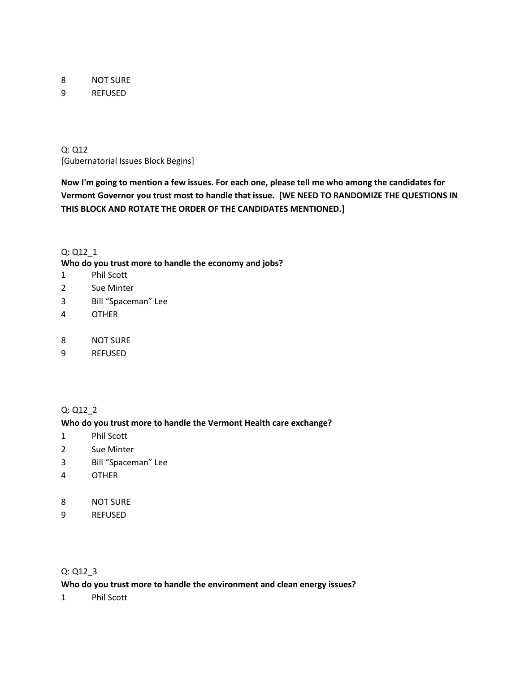8 NOT SURE

9 REFUSED

Q: Q12 [Gubernatorial Issues Block Begins]

**Now I'm going to mention a few issues. For each one, please tell me who among the candidates for Vermont Governor you trust most to handle that issue. [WE NEED TO RANDOMIZE THE QUESTIONS IN THIS BLOCK AND ROTATE THE ORDER OF THE CANDIDATES MENTIONED.]** 

## Q: Q12\_1

**Who do you trust more to handle the economy and jobs?** 

- 1 Phil Scott
- 2 Sue Minter
- 3 Bill "Spaceman" Lee
- 4 OTHER
- 8 NOT SURE
- 9 REFUSED

### Q: Q12\_2

### **Who do you trust more to handle the Vermont Health care exchange?**

- 1 Phil Scott
- 2 Sue Minter
- 3 Bill "Spaceman" Lee
- 4 OTHER
- 8 NOT SURE
- 9 REFUSED

## Q: Q12\_3

## **Who do you trust more to handle the environment and clean energy issues?**

1 Phil Scott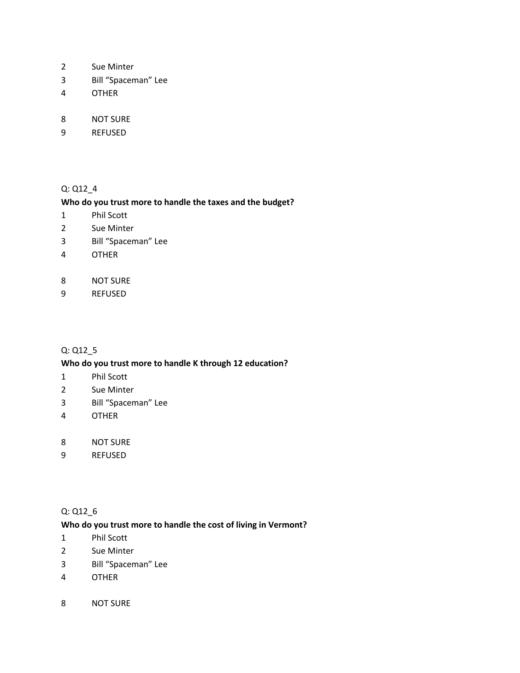- Sue Minter
- Bill "Spaceman" Lee
- OTHER
- NOT SURE
- REFUSED

## Q: Q12\_4

### **Who do you trust more to handle the taxes and the budget?**

- Phil Scott
- Sue Minter
- Bill "Spaceman" Lee
- OTHER
- NOT SURE
- REFUSED

## Q: Q12\_5

### **Who do you trust more to handle K through 12 education?**

- Phil Scott
- Sue Minter
- Bill "Spaceman" Lee
- OTHER
- NOT SURE
- REFUSED

## Q: Q12\_6

## **Who do you trust more to handle the cost of living in Vermont?**

- Phil Scott
- Sue Minter
- Bill "Spaceman" Lee
- OTHER
- NOT SURE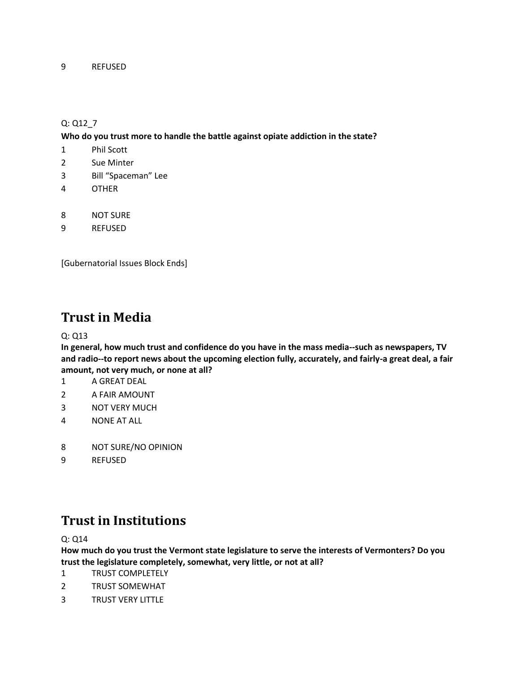## Q: Q12\_7

**Who do you trust more to handle the battle against opiate addiction in the state?** 

- 1 Phil Scott
- 2 Sue Minter
- 3 Bill "Spaceman" Lee
- 4 OTHER
- 8 NOT SURE
- 9 REFUSED

[Gubernatorial Issues Block Ends]

## **Trust in Media**

Q: Q13

**In general, how much trust and confidence do you have in the mass media--such as newspapers, TV and radio--to report news about the upcoming election fully, accurately, and fairly-a great deal, a fair amount, not very much, or none at all?**

- 1 A GREAT DEAL
- 2 A FAIR AMOUNT
- 3 NOT VERY MUCH
- 4 NONE AT ALL
- 8 NOT SURE/NO OPINION
- 9 REFUSED

# **Trust in Institutions**

Q: Q14

**How much do you trust the Vermont state legislature to serve the interests of Vermonters? Do you trust the legislature completely, somewhat, very little, or not at all?**

- 1 TRUST COMPLETELY
- 2 TRUST SOMEWHAT
- 3 TRUST VERY LITTLE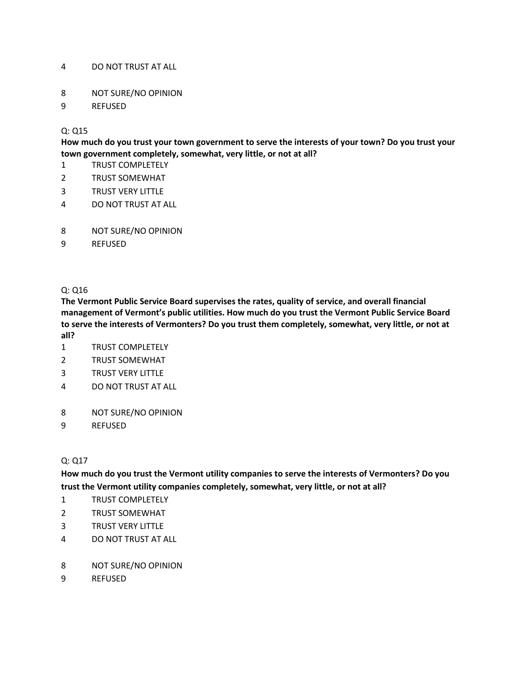## DO NOT TRUST AT ALL

- NOT SURE/NO OPINION
- REFUSED

## Q: Q15

**How much do you trust your town government to serve the interests of your town? Do you trust your town government completely, somewhat, very little, or not at all?**

- TRUST COMPLETELY
- TRUST SOMEWHAT
- TRUST VERY LITTLE
- DO NOT TRUST AT ALL
- NOT SURE/NO OPINION
- REFUSED

### Q: Q16

**The Vermont Public Service Board supervises the rates, quality of service, and overall financial management of Vermont's public utilities. How much do you trust the Vermont Public Service Board to serve the interests of Vermonters? Do you trust them completely, somewhat, very little, or not at all?**

- TRUST COMPLETELY
- TRUST SOMEWHAT
- TRUST VERY LITTLE
- DO NOT TRUST AT ALL
- NOT SURE/NO OPINION
- REFUSED

### Q: Q17

**How much do you trust the Vermont utility companies to serve the interests of Vermonters? Do you trust the Vermont utility companies completely, somewhat, very little, or not at all?**

- TRUST COMPLETELY
- TRUST SOMEWHAT
- TRUST VERY LITTLE
- DO NOT TRUST AT ALL
- NOT SURE/NO OPINION
- REFUSED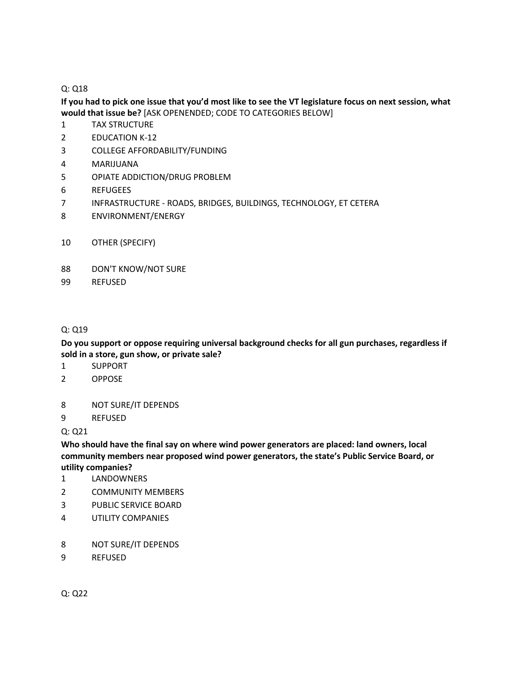## Q: Q18

## **If you had to pick one issue that you'd most like to see the VT legislature focus on next session, what would that issue be?** [ASK OPENENDED; CODE TO CATEGORIES BELOW]

- TAX STRUCTURE
- EDUCATION K-12
- COLLEGE AFFORDABILITY/FUNDING
- MARIJUANA
- OPIATE ADDICTION/DRUG PROBLEM
- REFUGEES
- INFRASTRUCTURE ROADS, BRIDGES, BUILDINGS, TECHNOLOGY, ET CETERA
- ENVIRONMENT/ENERGY
- OTHER (SPECIFY)
- DON'T KNOW/NOT SURE
- REFUSED

## Q: Q19

**Do you support or oppose requiring universal background checks for all gun purchases, regardless if sold in a store, gun show, or private sale?** 

- SUPPORT
- OPPOSE
- NOT SURE/IT DEPENDS
- REFUSED

Q: Q21

**Who should have the final say on where wind power generators are placed: land owners, local community members near proposed wind power generators, the state's Public Service Board, or utility companies?** 

- LANDOWNERS
- COMMUNITY MEMBERS
- PUBLIC SERVICE BOARD
- UTILITY COMPANIES
- NOT SURE/IT DEPENDS
- REFUSED

Q: Q22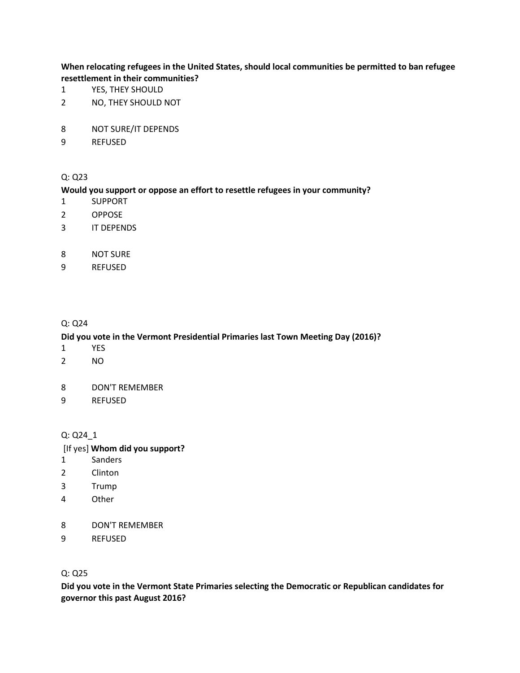**When relocating refugees in the United States, should local communities be permitted to ban refugee resettlement in their communities?** 

- YES, THEY SHOULD
- NO, THEY SHOULD NOT
- NOT SURE/IT DEPENDS
- REFUSED

#### Q: Q23

#### **Would you support or oppose an effort to resettle refugees in your community?**

- SUPPORT
- OPPOSE
- IT DEPENDS
- NOT SURE
- REFUSED

#### Q: Q24

#### **Did you vote in the Vermont Presidential Primaries last Town Meeting Day (2016)?**

- YES
- NO
- DON'T REMEMBER
- REFUSED

#### Q: Q24\_1

#### [If yes] **Whom did you support?**

- Sanders
- Clinton
- Trump
- Other
- DON'T REMEMBER
- REFUSED

### Q: Q25

**Did you vote in the Vermont State Primaries selecting the Democratic or Republican candidates for governor this past August 2016?**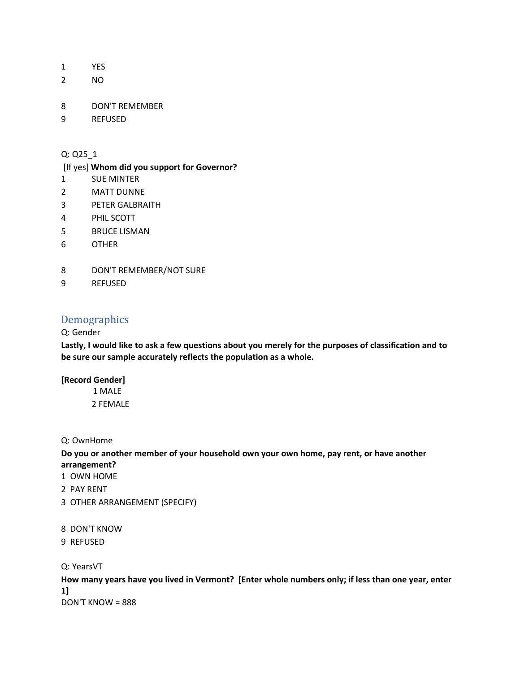- 1 YES
- 2 NO
- 8 DON'T REMEMBER
- 9 REFUSED

## Q: Q25\_1

#### [If yes] **Whom did you support for Governor?**

- 1 SUE MINTER
- 2 MATT DUNNE
- 3 PETER GALBRAITH
- 4 PHIL SCOTT
- 5 BRUCE LISMAN
- 6 OTHER
- 8 DON'T REMEMBER/NOT SURE
- 9 REFUSED

## Demographics

### Q: Gender

**Lastly, I would like to ask a few questions about you merely for the purposes of classification and to be sure our sample accurately reflects the population as a whole.** 

#### **[Record Gender]**

- 1 MALE 2 FEMALE
- Q: OwnHome

**Do you or another member of your household own your own home, pay rent, or have another arrangement?** 

- 1 OWN HOME
- 2 PAY RENT
- 3 OTHER ARRANGEMENT (SPECIFY)
- 8 DON'T KNOW
- 9 REFUSED

## Q: YearsVT

**How many years have you lived in Vermont? [Enter whole numbers only; if less than one year, enter 1]** DON'T KNOW = 888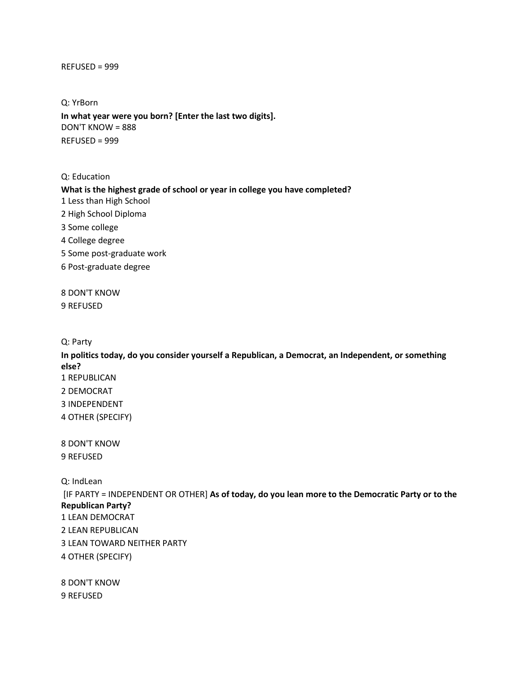#### REFUSED = 999

Q: YrBorn **In what year were you born? [Enter the last two digits].**  DON'T KNOW = 888 REFUSED = 999

Q: Education

**What is the highest grade of school or year in college you have completed?** 

1 Less than High School

2 High School Diploma

3 Some college

4 College degree

5 Some post-graduate work

6 Post-graduate degree

8 DON'T KNOW 9 REFUSED

Q: Party

**In politics today, do you consider yourself a Republican, a Democrat, an Independent, or something else?**  1 REPUBLICAN 2 DEMOCRAT 3 INDEPENDENT 4 OTHER (SPECIFY)

8 DON'T KNOW 9 REFUSED

Q: IndLean

[IF PARTY = INDEPENDENT OR OTHER] **As of today, do you lean more to the Democratic Party or to the Republican Party?** 1 LEAN DEMOCRAT 2 LEAN REPUBLICAN

3 LEAN TOWARD NEITHER PARTY

4 OTHER (SPECIFY)

8 DON'T KNOW 9 REFUSED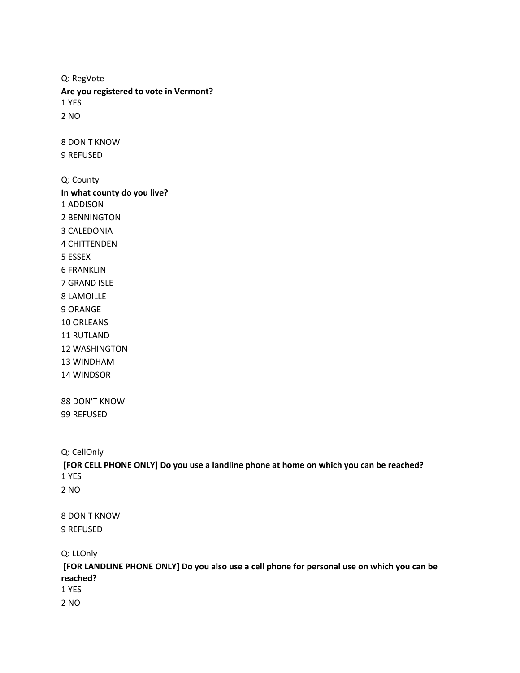Q: RegVote **Are you registered to vote in Vermont?**  1 YES 2 NO 8 DON'T KNOW 9 REFUSED Q: County **In what county do you live?**  1 ADDISON 2 BENNINGTON 3 CALEDONIA 4 CHITTENDEN 5 ESSEX 6 FRANKLIN 7 GRAND ISLE 8 LAMOILLE 9 ORANGE 10 ORLEANS 11 RUTLAND 12 WASHINGTON 13 WINDHAM 14 WINDSOR 88 DON'T KNOW 99 REFUSED Q: CellOnly **[FOR CELL PHONE ONLY] Do you use a landline phone at home on which you can be reached?**  1 YES 2 NO 8 DON'T KNOW 9 REFUSED Q: LLOnly

**[FOR LANDLINE PHONE ONLY] Do you also use a cell phone for personal use on which you can be reached?** 

1 YES

2 NO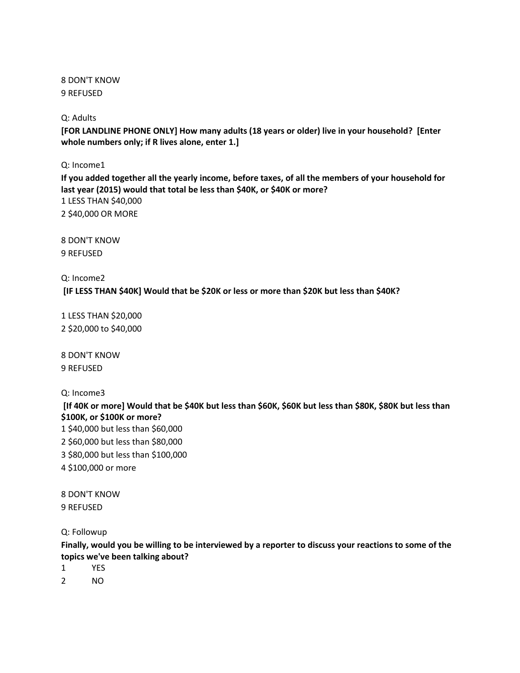8 DON'T KNOW 9 REFUSED

## Q: Adults

**[FOR LANDLINE PHONE ONLY] How many adults (18 years or older) live in your household? [Enter whole numbers only; if R lives alone, enter 1.]** 

Q: Income1

**If you added together all the yearly income, before taxes, of all the members of your household for last year (2015) would that total be less than \$40K, or \$40K or more?** 1 LESS THAN \$40,000 2 \$40,000 OR MORE

8 DON'T KNOW 9 REFUSED

Q: Income2 **[IF LESS THAN \$40K] Would that be \$20K or less or more than \$20K but less than \$40K?**

1 LESS THAN \$20,000 2 \$20,000 to \$40,000

8 DON'T KNOW 9 REFUSED

Q: Income3

**[If 40K or more] Would that be \$40K but less than \$60K, \$60K but less than \$80K, \$80K but less than \$100K, or \$100K or more?** 1 \$40,000 but less than \$60,000 2 \$60,000 but less than \$80,000 3 \$80,000 but less than \$100,000 4 \$100,000 or more

8 DON'T KNOW 9 REFUSED

Q: Followup

**Finally, would you be willing to be interviewed by a reporter to discuss your reactions to some of the topics we've been talking about?**

1 YES

2 NO